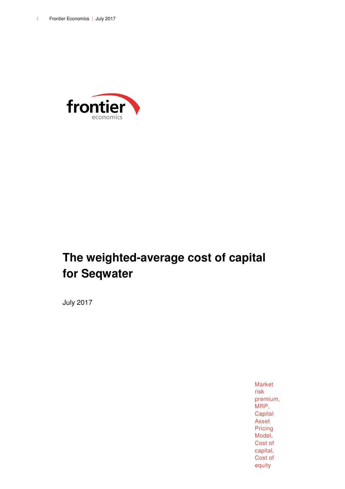

# **The weighted-average cost of capital for Seqwater**

July 2017

Market risk premium, MRP, **Capital** Asset Pricing Model, Cost of capital, Cost of equity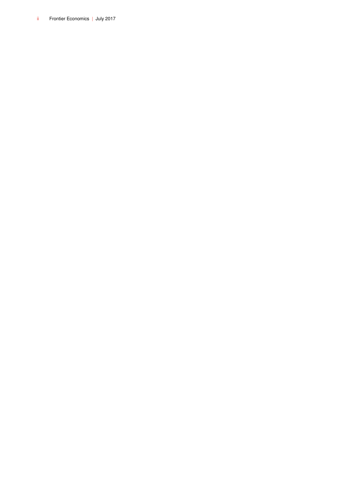#### ii Frontier Economics | July 2017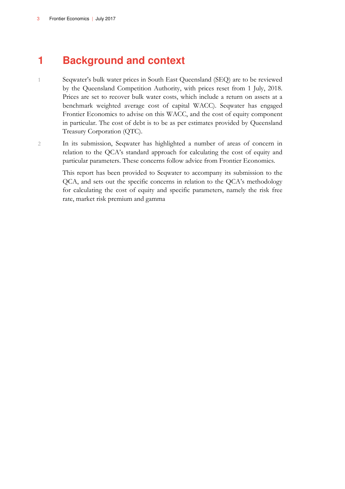# **1 Background and context**

- 1 Seqwater's bulk water prices in South East Queensland (SEQ) are to be reviewed by the Queensland Competition Authority, with prices reset from 1 July, 2018. Prices are set to recover bulk water costs, which include a return on assets at a benchmark weighted average cost of capital WACC). Seqwater has engaged Frontier Economics to advise on this WACC, and the cost of equity component in particular. The cost of debt is to be as per estimates provided by Queensland Treasury Corporation (QTC).
- 2 In its submission, Seqwater has highlighted a number of areas of concern in relation to the QCA's standard approach for calculating the cost of equity and particular parameters. These concerns follow advice from Frontier Economics.

This report has been provided to Seqwater to accompany its submission to the QCA, and sets out the specific concerns in relation to the QCA's methodology for calculating the cost of equity and specific parameters, namely the risk free rate, market risk premium and gamma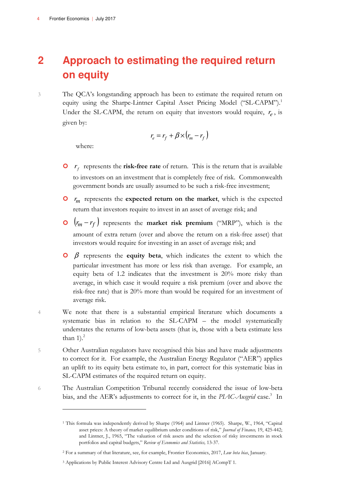# **2 Approach to estimating the required return on equity**

3 The QCA's longstanding approach has been to estimate the required return on equity using the Sharpe-Lintner Capital Asset Pricing Model ("SL-CAPM").<sup>1</sup> Under the SL-CAPM, the return on equity that investors would require,  $r_e$ , is given by:

$$
r_e = r_f + \beta \times (r_m - r_f)
$$

where:

- *o*  $r_f$  represents the **risk-free rate** of return. This is the return that is available to investors on an investment that is completely free of risk. Commonwealth government bonds are usually assumed to be such a risk-free investment;
- **O**  $r_m$  represents the **expected return on the market**, which is the expected return that investors require to invest in an asset of average risk; and
- $\sigma$   $(r_m r_f)$  represents the **market risk premium** ("MRP"), which is the amount of extra return (over and above the return on a risk-free asset) that investors would require for investing in an asset of average risk; and
- **δ**  $\beta$  represents the **equity beta**, which indicates the extent to which the particular investment has more or less risk than average. For example, an equity beta of 1.2 indicates that the investment is 20% more risky than average, in which case it would require a risk premium (over and above the risk-free rate) that is 20% more than would be required for an investment of average risk.
- 4 We note that there is a substantial empirical literature which documents a systematic bias in relation to the SL-CAPM – the model systematically understates the returns of low-beta assets (that is, those with a beta estimate less than  $1$ ).<sup>2</sup>
- 5 Other Australian regulators have recognised this bias and have made adjustments to correct for it. For example, the Australian Energy Regulator ("AER") applies an uplift to its equity beta estimate to, in part, correct for this systematic bias in SL-CAPM estimates of the required return on equity.
- 6 The Australian Competition Tribunal recently considered the issue of low-beta bias, and the AER's adjustments to correct for it, in the *PIAC-Ausgrid* case.<sup>3</sup> In

<sup>1</sup> This formula was independently derived by Sharpe (1964) and Lintner (1965). Sharpe, W., 1964, "Capital asset prices: A theory of market equilibrium under conditions of risk," *Journal of Finance,* 19, 425-442; and Lintner, J., 1965, "The valuation of risk assets and the selection of risky investments in stock portfolios and capital budgets," *Review of Economics and Statistics,* 13-37.

<sup>2</sup> For a summary of that literature, see, for example, Frontier Economics, 2017, *Low beta bias*, January.

<sup>3</sup> Applications by Public Interest Advisory Centre Ltd and Ausgrid [2016] ACompT 1.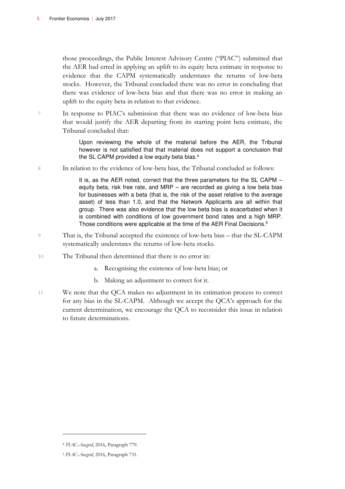those proceedings, the Public Interest Advisory Centre ("PIAC") submitted that the AER had erred in applying an uplift to its equity beta estimate in response to evidence that the CAPM systematically understates the returns of low-beta stocks. However, the Tribunal concluded there was no error in concluding that there was evidence of low-beta bias and that there was no error in making an uplift to the equity beta in relation to that evidence.

7 In response to PIAC's submission that there was no evidence of low-beta bias that would justify the AER departing from its starting point beta estimate, the Tribunal concluded that:

> Upon reviewing the whole of the material before the AER, the Tribunal however is not satisfied that that material does not support a conclusion that the SL CAPM provided a low equity beta bias.<sup>4</sup>

8 In relation to the evidence of low-beta bias, the Tribunal concluded as follows:

It is, as the AER noted, correct that the three parameters for the SL CAPM – equity beta, risk free rate, and MRP – are recorded as giving a low beta bias for businesses with a beta (that is, the risk of the asset relative to the average asset) of less than 1.0, and that the Network Applicants are all within that group. There was also evidence that the low beta bias is exacerbated when it is combined with conditions of low government bond rates and a high MRP. Those conditions were applicable at the time of the AER Final Decisions.<sup>5</sup>

- 9 That is, the Tribunal accepted the existence of low-beta bias that the SL-CAPM systematically understates the returns of low-beta stocks.
- 10 The Tribunal then determined that there is no error in:
	- a. Recognising the existence of low-beta bias; or
	- b. Making an adjustment to correct for it.
- 11 We note that the QCA makes no adjustment in its estimation process to correct for any bias in the SL-CAPM. Although we accept the QCA's approach for the current determination, we encourage the QCA to reconsider this issue in relation to future determinations.

<sup>4</sup> *PIAC-Ausgrid*, 2016, Paragraph 779.

<sup>5</sup> *PIAC-Ausgrid*, 2016, Paragraph 731.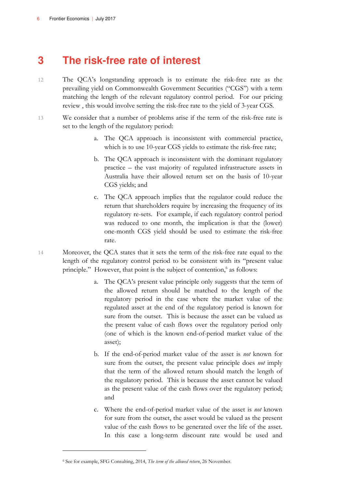## **3 The risk-free rate of interest**

- 12 The QCA's longstanding approach is to estimate the risk-free rate as the prevailing yield on Commonwealth Government Securities ("CGS") with a term matching the length of the relevant regulatory control period. For our pricing review , this would involve setting the risk-free rate to the yield of 3-year CGS.
- 13 We consider that a number of problems arise if the term of the risk-free rate is set to the length of the regulatory period:
	- a. The QCA approach is inconsistent with commercial practice, which is to use 10-year CGS yields to estimate the risk-free rate;
	- b. The QCA approach is inconsistent with the dominant regulatory practice – the vast majority of regulated infrastructure assets in Australia have their allowed return set on the basis of 10-year CGS yields; and
	- c. The QCA approach implies that the regulator could reduce the return that shareholders require by increasing the frequency of its regulatory re-sets. For example, if each regulatory control period was reduced to one month, the implication is that the (lower) one-month CGS yield should be used to estimate the risk-free rate.
- 14 Moreover, the QCA states that it sets the term of the risk-free rate equal to the length of the regulatory control period to be consistent with its "present value principle." However, that point is the subject of contention,<sup>6</sup> as follows:
	- a. The QCA's present value principle only suggests that the term of the allowed return should be matched to the length of the regulatory period in the case where the market value of the regulated asset at the end of the regulatory period is known for sure from the outset. This is because the asset can be valued as the present value of cash flows over the regulatory period only (one of which is the known end-of-period market value of the asset);
	- b. If the end-of-period market value of the asset is *not* known for sure from the outset, the present value principle does *not* imply that the term of the allowed return should match the length of the regulatory period. This is because the asset cannot be valued as the present value of the cash flows over the regulatory period; and
	- c. Where the end-of-period market value of the asset is *not* known for sure from the outset, the asset would be valued as the present value of the cash flows to be generated over the life of the asset. In this case a long-term discount rate would be used and

<sup>6</sup> See for example, SFG Consulting, 2014, *The term of the allowed return*, 26 November.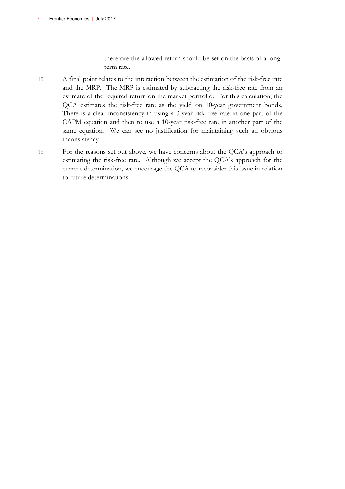therefore the allowed return should be set on the basis of a longterm rate.

- 15 A final point relates to the interaction between the estimation of the risk-free rate and the MRP. The MRP is estimated by subtracting the risk-free rate from an estimate of the required return on the market portfolio. For this calculation, the QCA estimates the risk-free rate as the yield on 10-year government bonds. There is a clear inconsistency in using a 3-year risk-free rate in one part of the CAPM equation and then to use a 10-year risk-free rate in another part of the same equation. We can see no justification for maintaining such an obvious inconsistency.
- 16 For the reasons set out above, we have concerns about the QCA's approach to estimating the risk-free rate. Although we accept the QCA's approach for the current determination, we encourage the QCA to reconsider this issue in relation to future determinations.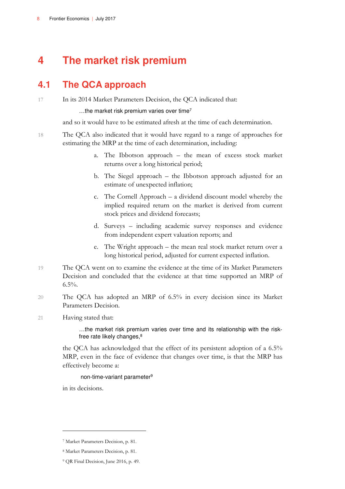# **4 The market risk premium**

## **4.1 The QCA approach**

17 In its 2014 Market Parameters Decision, the QCA indicated that:

#### ...the market risk premium varies over time<sup>7</sup>

and so it would have to be estimated afresh at the time of each determination.

- 18 The QCA also indicated that it would have regard to a range of approaches for estimating the MRP at the time of each determination, including:
	- a. The Ibbotson approach the mean of excess stock market returns over a long historical period;
	- b. The Siegel approach the Ibbotson approach adjusted for an estimate of unexpected inflation;
	- c. The Cornell Approach a dividend discount model whereby the implied required return on the market is derived from current stock prices and dividend forecasts;
	- d. Surveys including academic survey responses and evidence from independent expert valuation reports; and
	- e. The Wright approach the mean real stock market return over a long historical period, adjusted for current expected inflation.
- 19 The QCA went on to examine the evidence at the time of its Market Parameters Decision and concluded that the evidence at that time supported an MRP of  $6.5\%$ .
- 20 The QCA has adopted an MRP of 6.5% in every decision since its Market Parameters Decision.
- 21 Having stated that:

…the market risk premium varies over time and its relationship with the risk‐ free rate likely changes,<sup>8</sup>

the QCA has acknowledged that the effect of its persistent adoption of a 6.5% MRP, even in the face of evidence that changes over time, is that the MRP has effectively become a:

#### non-time-variant parameter<sup>9</sup>

in its decisions.

<sup>7</sup> Market Parameters Decision, p. 81.

<sup>8</sup> Market Parameters Decision, p. 81.

<sup>9</sup> QR Final Decision, June 2016, p. 49.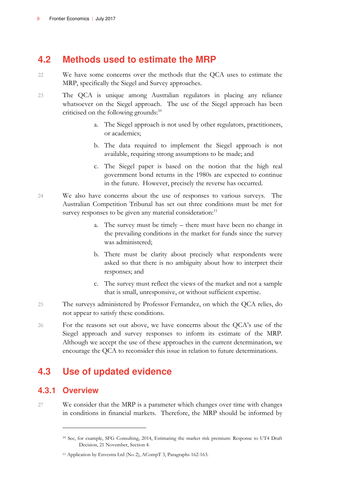### **4.2 Methods used to estimate the MRP**

- 22 We have some concerns over the methods that the QCA uses to estimate the MRP, specifically the Siegel and Survey approaches.
- 23 The QCA is unique among Australian regulators in placing any reliance whatsoever on the Siegel approach. The use of the Siegel approach has been criticised on the following grounds:<sup>10</sup>
	- a. The Siegel approach is not used by other regulators, practitioners, or academics;
	- b. The data required to implement the Siegel approach is not available, requiring strong assumptions to be made; and
	- c. The Siegel paper is based on the notion that the high real government bond returns in the 1980s are expected to continue in the future. However, precisely the reverse has occurred.
- 24 We also have concerns about the use of responses to various surveys. The Australian Competition Tribunal has set out three conditions must be met for survey responses to be given any material consideration: $11$ 
	- a. The survey must be timely there must have been no change in the prevailing conditions in the market for funds since the survey was administered;
	- b. There must be clarity about precisely what respondents were asked so that there is no ambiguity about how to interpret their responses; and
	- c. The survey must reflect the views of the market and not a sample that is small, unresponsive, or without sufficient expertise.
- 25 The surveys administered by Professor Fernandez, on which the QCA relies, do not appear to satisfy these conditions.
- 26 For the reasons set out above, we have concerns about the QCA's use of the Siegel approach and survey responses to inform its estimate of the MRP. Although we accept the use of these approaches in the current determination, we encourage the QCA to reconsider this issue in relation to future determinations.

## **4.3 Use of updated evidence**

### **4.3.1 Overview**

 $\overline{a}$ 

27 We consider that the MRP is a parameter which changes over time with changes in conditions in financial markets. Therefore, the MRP should be informed by

<sup>10</sup> See, for example, SFG Consulting, 2014, Estimating the market risk premium: Response to UT4 Draft Decision, 21 November, Section 4.

<sup>11</sup> Application by Envestra Ltd (No 2), ACompT 3, Paragraphs 162-163.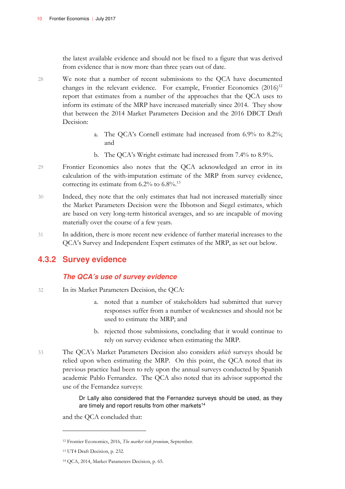the latest available evidence and should not be fixed to a figure that was derived from evidence that is now more than three years out of date.

- 28 We note that a number of recent submissions to the QCA have documented changes in the relevant evidence. For example, Frontier Economics  $(2016)^{12}$ report that estimates from a number of the approaches that the QCA uses to inform its estimate of the MRP have increased materially since 2014. They show that between the 2014 Market Parameters Decision and the 2016 DBCT Draft Decision:
	- a. The QCA's Cornell estimate had increased from 6.9% to 8.2%; and
	- b. The QCA's Wright estimate had increased from 7.4% to 8.9%.
- 29 Frontier Economics also notes that the QCA acknowledged an error in its calculation of the with-imputation estimate of the MRP from survey evidence, correcting its estimate from  $6.2\%$  to  $6.8\%$ .<sup>13</sup>
- 30 Indeed, they note that the only estimates that had not increased materially since the Market Parameters Decision were the Ibbotson and Siegel estimates, which are based on very long-term historical averages, and so are incapable of moving materially over the course of a few years.
- 31 In addition, there is more recent new evidence of further material increases to the QCA's Survey and Independent Expert estimates of the MRP, as set out below.

### **4.3.2 Survey evidence**

#### **The QCA's use of survey evidence**

- 32 In its Market Parameters Decision, the QCA:
	- a. noted that a number of stakeholders had submitted that survey responses suffer from a number of weaknesses and should not be used to estimate the MRP; and
	- b. rejected those submissions, concluding that it would continue to rely on survey evidence when estimating the MRP.
- 33 The QCA's Market Parameters Decision also considers *which* surveys should be relied upon when estimating the MRP. On this point, the QCA noted that its previous practice had been to rely upon the annual surveys conducted by Spanish academic Pablo Fernandez. The QCA also noted that its advisor supported the use of the Fernandez surveys:

Dr Lally also considered that the Fernandez surveys should be used, as they are timely and report results from other markets<sup>14</sup>

and the QCA concluded that:

<sup>12</sup> Frontier Economics, 2016, *The market risk premium*, September.

<sup>13</sup> UT4 Draft Decision, p. 232.

<sup>14</sup> QCA, 2014, Market Parameters Decision, p. 65.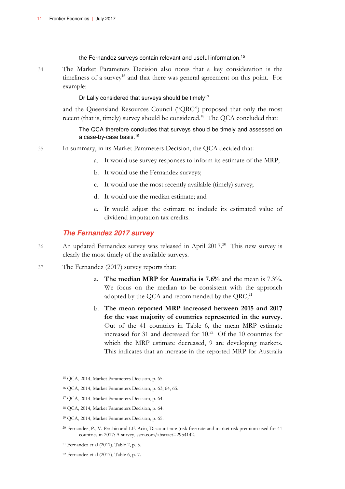the Fernandez surveys contain relevant and useful information.<sup>15</sup>

34 The Market Parameters Decision also notes that a key consideration is the timeliness of a survey<sup>16</sup> and that there was general agreement on this point. For example:

Dr Lally considered that surveys should be timely<sup>17</sup>

and the Queensland Resources Council ("QRC") proposed that only the most recent (that is, timely) survey should be considered.<sup>18</sup> The QCA concluded that:

The QCA therefore concludes that surveys should be timely and assessed on a case‐by‐case basis.<sup>19</sup>

35 In summary, in its Market Parameters Decision, the QCA decided that:

- a. It would use survey responses to inform its estimate of the MRP;
- b. It would use the Fernandez surveys;
- c. It would use the most recently available (timely) survey;
- d. It would use the median estimate; and
- e. It would adjust the estimate to include its estimated value of dividend imputation tax credits.

#### **The Fernandez 2017 survey**

- 36 An updated Fernandez survey was released in April 2017.<sup>20</sup> This new survey is clearly the most timely of the available surveys.
- 37 The Fernandez (2017) survey reports that:
	- a. **The median MRP for Australia is 7.6%** and the mean is 7.3%. We focus on the median to be consistent with the approach adopted by the QCA and recommended by the  $QRC<sub>i</sub><sup>21</sup>$
	- b. **The mean reported MRP increased between 2015 and 2017 for the vast majority of countries represented in the survey.** Out of the 41 countries in Table 6, the mean MRP estimate increased for 31 and decreased for 10.<sup>22</sup> Of the 10 countries for which the MRP estimate decreased, 9 are developing markets. This indicates that an increase in the reported MRP for Australia

<sup>15</sup> QCA, 2014, Market Parameters Decision, p. 65.

<sup>16</sup> QCA, 2014, Market Parameters Decision, p. 63, 64, 65.

<sup>17</sup> QCA, 2014, Market Parameters Decision, p. 64.

<sup>18</sup> QCA, 2014, Market Parameters Decision, p. 64.

<sup>19</sup> QCA, 2014, Market Parameters Decision, p. 65.

<sup>20</sup> Fernandez, P., V. Pershin and I.F. Acin, Discount rate (risk-free rate and market risk premium used for 41 countries in 2017: A survey, ssrn.com/abstract=2954142.

<sup>21</sup> Fernandez et al (2017), Table 2, p. 3.

<sup>22</sup> Fernandez et al (2017), Table 6, p. 7.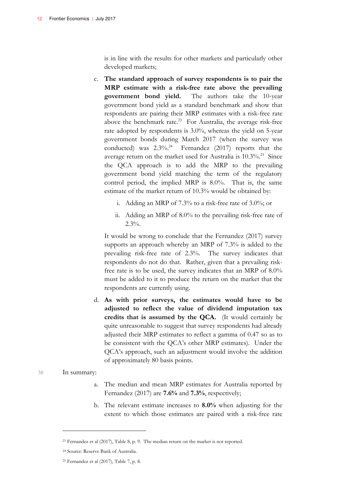is in line with the results for other markets and particularly other developed markets;

- c. **The standard approach of survey respondents is to pair the MRP estimate with a risk-free rate above the prevailing government bond yield.** The authors take the 10-year government bond yield as a standard benchmark and show that respondents are pairing their MRP estimates with a risk-free rate above the benchmark rate.<sup>23</sup> For Australia, the average risk-free rate adopted by respondents is 3.0%, whereas the yield on 5-year government bonds during March 2017 (when the survey was conducted) was  $2.3\%^{24}$  Fernandez (2017) reports that the average return on the market used for Australia is  $10.3\%$ .<sup>25</sup> Since the QCA approach is to add the MRP to the prevailing government bond yield matching the term of the regulatory control period, the implied MRP is 8.0%. That is, the same estimate of the market return of 10.3% would be obtained by:
	- i. Adding an MRP of 7.3% to a risk-free rate of 3.0%; or
	- ii. Adding an MRP of 8.0% to the prevailing risk-free rate of 2.3%.

It would be wrong to conclude that the Fernandez (2017) survey supports an approach whereby an MRP of 7.3% is added to the prevailing risk-free rate of 2.3%. The survey indicates that respondents do not do that. Rather, given that a prevailing riskfree rate is to be used, the survey indicates that an MRP of 8.0% must be added to it to produce the return on the market that the respondents are currently using.

d. **As with prior surveys, the estimates would have to be adjusted to reflect the value of dividend imputation tax credits that is assumed by the QCA.** (It would certainly be quite unreasonable to suggest that survey respondents had already adjusted their MRP estimates to reflect a gamma of 0.47 so as to be consistent with the QCA's other MRP estimates). Under the QCA's approach, such an adjustment would involve the addition of approximately 80 basis points.

#### 38 In summary:

- a. The median and mean MRP estimates for Australia reported by Fernandez (2017) are **7.6%** and **7.3%**, respectively;
- b. The relevant estimate increases to **8.0%** when adjusting for the extent to which those estimates are paired with a risk-free rate

<sup>23</sup> Fernandez et al (2017), Table 8, p. 9. The median return on the market is not reported.

<sup>24</sup> Source: Reserve Bank of Australia.

<sup>25</sup> Fernandez et al (2017), Table 7, p. 8.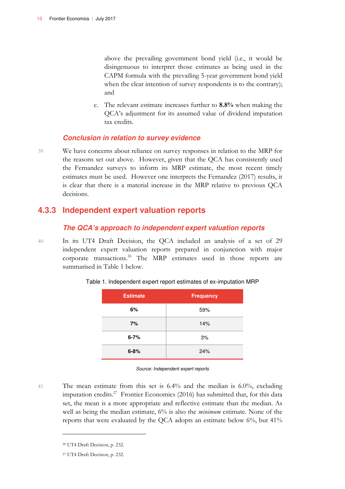above the prevailing government bond yield (i.e., it would be disingenuous to interpret those estimates as being used in the CAPM formula with the prevailing 5-year government bond yield when the clear intention of survey respondents is to the contrary); and

c. The relevant estimate increases further to **8.8%** when making the QCA's adjustment for its assumed value of dividend imputation tax credits.

#### **Conclusion in relation to survey evidence**

39 We have concerns about reliance on survey responses in relation to the MRP for the reasons set out above. However, given that the QCA has consistently used the Fernandez surveys to inform its MRP estimate, the most recent timely estimates must be used. However one interprets the Fernandez (2017) results, it is clear that there is a material increase in the MRP relative to previous QCA decisions.

### **4.3.3 Independent expert valuation reports**

#### **The QCA's approach to independent expert valuation reports**

40 In its UT4 Draft Decision, the QCA included an analysis of a set of 29 independent expert valuation reports prepared in conjunction with major corporate transactions.<sup>26</sup> The MRP estimates used in those reports are summarised in Table 1 below.

| <b>Estimate</b> | <b>Frequency</b> |
|-----------------|------------------|
| 6%              | 59%              |
| 7%              | 14%              |
| $6 - 7%$        | 3%               |
| $6 - 8%$        | 24%              |

#### *Source: Independent expert reports*

41 The mean estimate from this set is 6.4% and the median is 6.0%, excluding imputation credits.<sup>27</sup> Frontier Economics (2016) has submitted that, for this data set, the mean is a more appropriate and reflective estimate than the median. As well as being the median estimate, 6% is also the *minimum* estimate. None of the reports that were evaluated by the QCA adopts an estimate below 6%, but 41%

<sup>26</sup> UT4 Draft Decision, p. 232.

<sup>27</sup> UT4 Draft Decision, p. 232.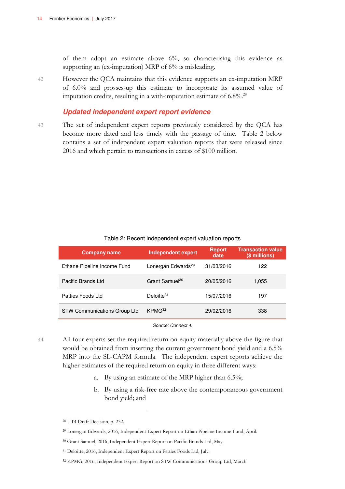of them adopt an estimate above 6%, so characterising this evidence as supporting an (ex-imputation) MRP of 6% is misleading.

42 However the QCA maintains that this evidence supports an ex-imputation MRP of 6.0% and grosses-up this estimate to incorporate its assumed value of imputation credits, resulting in a with-imputation estimate of  $6.8\%$ <sup>28</sup>

#### **Updated independent expert report evidence**

43 The set of independent expert reports previously considered by the QCA has become more dated and less timely with the passage of time. Table 2 below contains a set of independent expert valuation reports that were released since 2016 and which pertain to transactions in excess of \$100 million.

| <b>Company name</b>          | <b>Independent expert</b>      | <b>Report</b><br>date | <b>Transaction value</b><br>(\$ millions) |
|------------------------------|--------------------------------|-----------------------|-------------------------------------------|
| Ethane Pipeline Income Fund  | Lonergan Edwards <sup>29</sup> | 31/03/2016            | 122                                       |
| Pacific Brands Ltd           | Grant Samuel <sup>30</sup>     | 20/05/2016            | 1,055                                     |
| Patties Foods Ltd            | Deloitte $31$                  | 15/07/2016            | 197                                       |
| STW Communications Group Ltd | KPMG <sup>32</sup>             | 29/02/2016            | 338                                       |
|                              |                                |                       |                                           |

Table 2: Recent independent expert valuation reports

*Source: Connect 4.* 

44 All four experts set the required return on equity materially above the figure that would be obtained from inserting the current government bond yield and a 6.5% MRP into the SL-CAPM formula. The independent expert reports achieve the higher estimates of the required return on equity in three different ways:

- a. By using an estimate of the MRP higher than 6.5%;
- b. By using a risk-free rate above the contemporaneous government bond yield; and

<sup>28</sup> UT4 Draft Decision, p. 232.

<sup>29</sup> Lonergan Edwards, 2016, Independent Expert Report on Ethan Pipeline Income Fund, April.

<sup>30</sup> Grant Samuel, 2016, Independent Expert Report on Pacific Brands Ltd, May.

<sup>31</sup> Deloitte, 2016, Independent Expert Report on Patties Foods Ltd, July.

<sup>32</sup> KPMG, 2016, Independent Expert Report on STW Communications Group Ltd, March.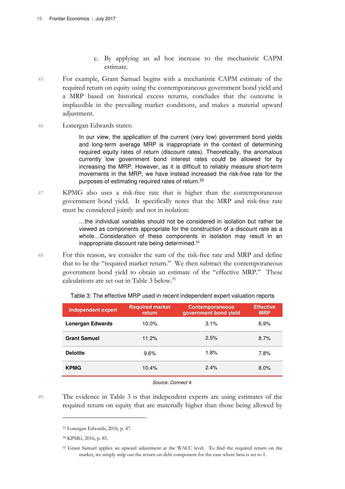- c. By applying an ad hoc increase to the mechanistic CAPM estimate.
- 45 For example, Grant Samuel begins with a mechanistic CAPM estimate of the required return on equity using the contemporaneous government bond yield and a MRP based on historical excess returns, concludes that the outcome is implausible in the prevailing market conditions, and makes a material upward adjustment.
- 46 Lonergan Edwards states:

In our view, the application of the current (very low) government bond yields and long-term average MRP is inappropriate in the context of determining required equity rates of return (discount rates). Theoretically, the anomalous currently low government bond interest rates could be allowed for by increasing the MRP. However, as it is difficult to reliably measure short-term movements in the MRP, we have instead increased the risk-free rate for the purposes of estimating required rates of return.<sup>33</sup>

47 KPMG also uses a risk-free rate that is higher than the contemporaneous government bond yield. It specifically notes that the MRP and risk-free rate must be considered jointly and not in isolation:

> …the individual variables should not be considered in isolation but rather be viewed as components appropriate for the construction of a discount rate as a whole…Consideration of these components in isolation may result in an inappropriate discount rate being determined.<sup>34</sup>

48 For this reason, we consider the sum of the risk-free rate and MRP and define that to be the "required market return." We then subtract the contemporaneous government bond yield to obtain an estimate of the "effective MRP." These calculations are set out in Table 3 below.<sup>35</sup>

| <b>Independent expert</b> | <b>Required market</b><br>return | <b>Contemporaneous</b><br>government bond yield | <b>Effective</b><br><b>MRP</b> |
|---------------------------|----------------------------------|-------------------------------------------------|--------------------------------|
| <b>Lonergan Edwards</b>   | 10.0%                            | 3.1%                                            | 6.9%                           |
| <b>Grant Samuel</b>       | 11.2%                            | 2.5%                                            | 8.7%                           |
| <b>Deloitte</b>           | 9.6%                             | 1.8%                                            | 7.8%                           |
| <b>KPMG</b>               | 10.4%                            | 2.4%                                            | 8.0%                           |
|                           |                                  |                                                 |                                |

Table 3: The effective MRP used in recent independent expert valuation reports

#### *Source: Connect 4.*

49 The evidence in Table 3 is that independent experts are using estimates of the required return on equity that are materially higher than those being allowed by

<sup>33</sup> Lonergan Edwards, 2016, p. 47.

<sup>34</sup> KPMG, 2016, p. 85.

<sup>35</sup> Grant Samuel applies an upward adjustment at the WACC level. To find the required return on the market, we simply strip out the return on debt component for the case where beta is set to 1.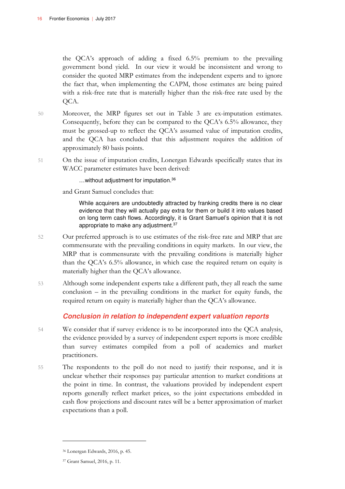the QCA's approach of adding a fixed 6.5% premium to the prevailing government bond yield. In our view it would be inconsistent and wrong to consider the quoted MRP estimates from the independent experts and to ignore the fact that, when implementing the CAPM, those estimates are being paired with a risk-free rate that is materially higher than the risk-free rate used by the QCA.

- 50 Moreover, the MRP figures set out in Table 3 are ex-imputation estimates. Consequently, before they can be compared to the QCA's 6.5% allowance, they must be grossed-up to reflect the QCA's assumed value of imputation credits, and the QCA has concluded that this adjustment requires the addition of approximately 80 basis points.
- 51 On the issue of imputation credits, Lonergan Edwards specifically states that its WACC parameter estimates have been derived:

…without adjustment for imputation.<sup>36</sup>

and Grant Samuel concludes that:

While acquirers are undoubtedly attracted by franking credits there is no clear evidence that they will actually pay extra for them or build it into values based on long term cash flows. Accordingly, it is Grant Samuel's opinion that it is not appropriate to make any adjustment.<sup>37</sup>

- 52 Our preferred approach is to use estimates of the risk-free rate and MRP that are commensurate with the prevailing conditions in equity markets. In our view, the MRP that is commensurate with the prevailing conditions is materially higher than the QCA's 6.5% allowance, in which case the required return on equity is materially higher than the QCA's allowance.
- 53 Although some independent experts take a different path, they all reach the same conclusion – in the prevailing conditions in the market for equity funds, the required return on equity is materially higher than the QCA's allowance.

#### **Conclusion in relation to independent expert valuation reports**

- 54 We consider that if survey evidence is to be incorporated into the QCA analysis, the evidence provided by a survey of independent expert reports is more credible than survey estimates compiled from a poll of academics and market practitioners.
- 55 The respondents to the poll do not need to justify their response, and it is unclear whether their responses pay particular attention to market conditions at the point in time. In contrast, the valuations provided by independent expert reports generally reflect market prices, so the joint expectations embedded in cash flow projections and discount rates will be a better approximation of market expectations than a poll.

<sup>36</sup> Lonergan Edwards, 2016, p. 45.

<sup>37</sup> Grant Samuel, 2016, p. 11.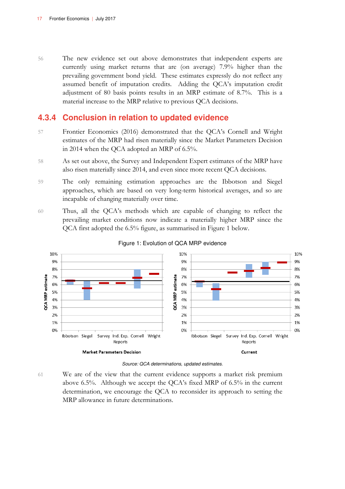56 The new evidence set out above demonstrates that independent experts are currently using market returns that are (on average) 7.9% higher than the prevailing government bond yield. These estimates expressly do not reflect any assumed benefit of imputation credits. Adding the QCA's imputation credit adjustment of 80 basis points results in an MRP estimate of 8.7%. This is a material increase to the MRP relative to previous QCA decisions.

### **4.3.4 Conclusion in relation to updated evidence**

- 57 Frontier Economics (2016) demonstrated that the QCA's Cornell and Wright estimates of the MRP had risen materially since the Market Parameters Decision in 2014 when the QCA adopted an MRP of 6.5%.
- 58 As set out above, the Survey and Independent Expert estimates of the MRP have also risen materially since 2014, and even since more recent QCA decisions.
- 59 The only remaining estimation approaches are the Ibbotson and Siegel approaches, which are based on very long-term historical averages, and so are incapable of changing materially over time.
- 60 Thus, all the QCA's methods which are capable of changing to reflect the prevailing market conditions now indicate a materially higher MRP since the QCA first adopted the 6.5% figure, as summarised in Figure 1 below.



#### Figure 1: Evolution of QCA MRP evidence

*Source: QCA determinations, updated estimates.* 

61 We are of the view that the current evidence supports a market risk premium above 6.5%. Although we accept the QCA's fixed MRP of 6.5% in the current determination, we encourage the QCA to reconsider its approach to setting the MRP allowance in future determinations.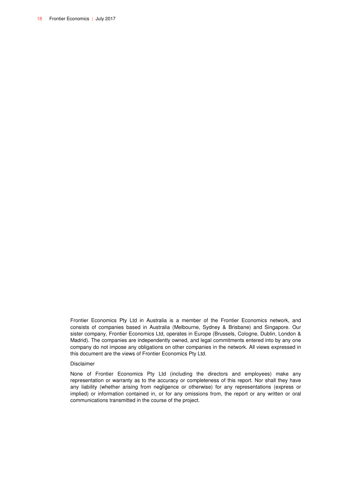Frontier Economics Pty Ltd in Australia is a member of the Frontier Economics network, and consists of companies based in Australia (Melbourne, Sydney & Brisbane) and Singapore. Our sister company, Frontier Economics Ltd, operates in Europe (Brussels, Cologne, Dublin, London & Madrid). The companies are independently owned, and legal commitments entered into by any one company do not impose any obligations on other companies in the network. All views expressed in this document are the views of Frontier Economics Pty Ltd.

#### Disclaimer

None of Frontier Economics Pty Ltd (including the directors and employees) make any representation or warranty as to the accuracy or completeness of this report. Nor shall they have any liability (whether arising from negligence or otherwise) for any representations (express or implied) or information contained in, or for any omissions from, the report or any written or oral communications transmitted in the course of the project.